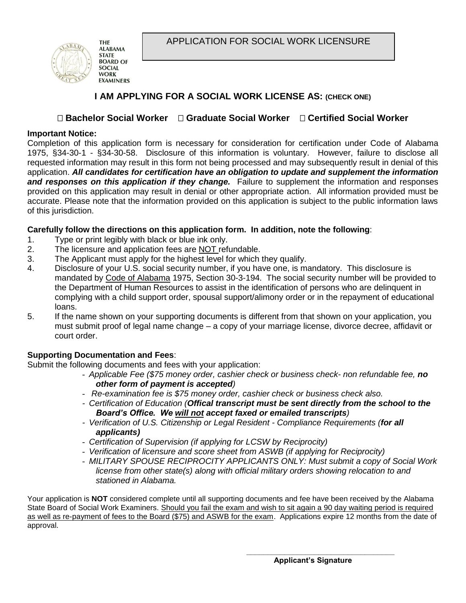APPLICATION FOR SOCIAL WORK LICENSURE



# **I AM APPLYING FOR A SOCIAL WORK LICENSE AS: (CHECK ONE)**

# **Bachelor Social Worker Graduate Social Worker Certified Social Worker**

### **Important Notice:**

Completion of this application form is necessary for consideration for certification under Code of Alabama 1975, §34-30-1 - §34-30-58. Disclosure of this information is voluntary. However, failure to disclose all requested information may result in this form not being processed and may subsequently result in denial of this application. *All candidates for certification have an obligation to update and supplement the information and responses on this application if they change.* Failure to supplement the information and responses provided on this application may result in denial or other appropriate action. All information provided must be accurate. Please note that the information provided on this application is subject to the public information laws of this jurisdiction.

## **Carefully follow the directions on this application form. In addition, note the following**:

- 1. Type or print legibly with black or blue ink only.
- 2. The licensure and application fees are NOT refundable.
- 3. The Applicant must apply for the highest level for which they qualify.
- 4. Disclosure of your U.S. social security number, if you have one, is mandatory. This disclosure is mandated by Code of Alabama 1975, Section 30-3-194. The social security number will be provided to the Department of Human Resources to assist in the identification of persons who are delinquent in complying with a child support order, spousal support/alimony order or in the repayment of educational loans.
- 5. If the name shown on your supporting documents is different from that shown on your application, you must submit proof of legal name change – a copy of your marriage license, divorce decree, affidavit or court order.

## **Supporting Documentation and Fees**:

Submit the following documents and fees with your application:

- *Applicable Fee (\$75 money order, cashier check or business check- non refundable fee, no other form of payment is accepted)*
- *Re-examination fee is \$75 money order, cashier check or business check also.*
- *- Certification of Education (Offical transcript must be sent directly from the school to the Board's Office. We will not accept faxed or emailed transcripts)*
- *- Verification of U.S. Citizenship or Legal Resident - Compliance Requirements (for all applicants)*
- *Certification of Supervision (if applying for LCSW by Reciprocity)*
- *Verification of licensure and score sheet from ASWB (if applying for Reciprocity)*
- *MILITARY SPOUSE RECIPROCITY APPLICANTS ONLY: Must submit a copy of Social Work license from other state(s) along with official military orders showing relocation to and stationed in Alabama.*

Your application is **NOT** considered complete until all supporting documents and fee have been received by the Alabama State Board of Social Work Examiners. Should you fail the exam and wish to sit again a 90 day waiting period is required as well as re-payment of fees to the Board (\$75) and ASWB for the exam. Applications expire 12 months from the date of approval.

**\_\_\_\_\_\_\_\_\_\_\_\_\_\_\_\_\_\_\_\_\_\_\_\_\_\_\_\_\_\_\_\_\_\_\_**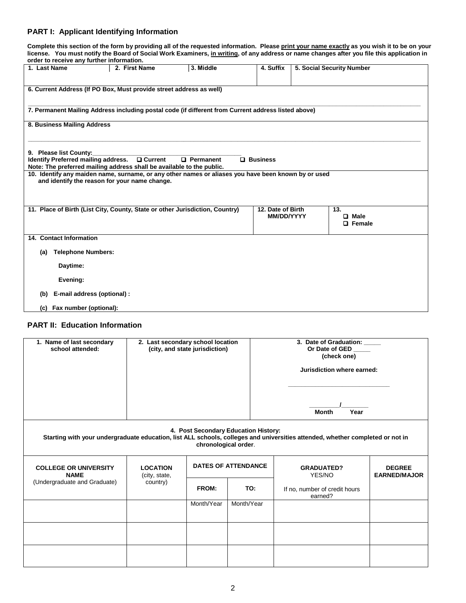#### **PART I: Applicant Identifying Information**

**Complete this section of the form by providing all of the requested information. Please print your name exactly as you wish it to be on your license. You must notify the Board of Social Work Examiners, in writing, of any address or name changes after you file this application in order to receive any further information.** 

| order to receive any further imormation.   |                             |                                                                       |                                                                                                     |                   |  |                           |
|--------------------------------------------|-----------------------------|-----------------------------------------------------------------------|-----------------------------------------------------------------------------------------------------|-------------------|--|---------------------------|
| 1. Last Name                               |                             | 2. First Name                                                         | 3. Middle                                                                                           | 4. Suffix         |  | 5. Social Security Number |
|                                            |                             |                                                                       |                                                                                                     |                   |  |                           |
|                                            |                             |                                                                       |                                                                                                     |                   |  |                           |
|                                            |                             | 6. Current Address (If PO Box, Must provide street address as well)   |                                                                                                     |                   |  |                           |
|                                            |                             |                                                                       |                                                                                                     |                   |  |                           |
|                                            |                             |                                                                       |                                                                                                     |                   |  |                           |
|                                            |                             |                                                                       | 7. Permanent Mailing Address including postal code (if different from Current address listed above) |                   |  |                           |
|                                            |                             |                                                                       |                                                                                                     |                   |  |                           |
| 8. Business Mailing Address                |                             |                                                                       |                                                                                                     |                   |  |                           |
|                                            |                             |                                                                       |                                                                                                     |                   |  |                           |
|                                            |                             |                                                                       |                                                                                                     |                   |  |                           |
| 9. Please list County:                     |                             |                                                                       |                                                                                                     |                   |  |                           |
| <b>Identify Preferred mailing address.</b> |                             | □ Current                                                             | $\Box$ Permanent                                                                                    | <b>Q</b> Business |  |                           |
|                                            |                             | Note: The preferred mailing address shall be available to the public. |                                                                                                     |                   |  |                           |
|                                            |                             |                                                                       | 10. Identify any maiden name, surname, or any other names or aliases you have been known by or used |                   |  |                           |
|                                            |                             | and identify the reason for your name change.                         |                                                                                                     |                   |  |                           |
|                                            |                             |                                                                       |                                                                                                     |                   |  |                           |
|                                            |                             |                                                                       |                                                                                                     |                   |  |                           |
|                                            |                             |                                                                       |                                                                                                     |                   |  |                           |
|                                            |                             |                                                                       | 11. Place of Birth (List City, County, State or other Jurisdiction, Country)                        | 12. Date of Birth |  | 13.                       |
|                                            |                             |                                                                       |                                                                                                     | <b>MM/DD/YYYY</b> |  | $\Box$ Male               |
|                                            |                             |                                                                       |                                                                                                     |                   |  | $\Box$ Female             |
|                                            |                             |                                                                       |                                                                                                     |                   |  |                           |
| 14. Contact Information                    |                             |                                                                       |                                                                                                     |                   |  |                           |
|                                            |                             |                                                                       |                                                                                                     |                   |  |                           |
| (a)                                        | <b>Telephone Numbers:</b>   |                                                                       |                                                                                                     |                   |  |                           |
| Daytime:                                   |                             |                                                                       |                                                                                                     |                   |  |                           |
|                                            |                             |                                                                       |                                                                                                     |                   |  |                           |
|                                            | Evening:                    |                                                                       |                                                                                                     |                   |  |                           |
|                                            |                             |                                                                       |                                                                                                     |                   |  |                           |
| (b)                                        | E-mail address (optional) : |                                                                       |                                                                                                     |                   |  |                           |
|                                            |                             |                                                                       |                                                                                                     |                   |  |                           |
| (c) Fax number (optional):                 |                             |                                                                       |                                                                                                     |                   |  |                           |

#### **PART II: Education Information**

| 1. Name of last secondary<br>school attended: | 2. Last secondary school location<br>(city, and state jurisdiction) |            |                                                              | 3. Date of Graduation:<br>Or Date of GED<br>(check one)                                                                       |                                      |  |
|-----------------------------------------------|---------------------------------------------------------------------|------------|--------------------------------------------------------------|-------------------------------------------------------------------------------------------------------------------------------|--------------------------------------|--|
|                                               |                                                                     |            |                                                              | Jurisdiction where earned:                                                                                                    |                                      |  |
|                                               |                                                                     |            |                                                              | Year<br><b>Month</b>                                                                                                          |                                      |  |
|                                               |                                                                     |            | 4. Post Secondary Education History:<br>chronological order. | Starting with your undergraduate education, list ALL schools, colleges and universities attended, whether completed or not in |                                      |  |
| <b>COLLEGE OR UNIVERSITY</b><br><b>NAME</b>   | <b>LOCATION</b><br>(city, state,                                    |            | <b>DATES OF ATTENDANCE</b>                                   | <b>GRADUATED?</b><br>YES/NO                                                                                                   | <b>DEGREE</b><br><b>EARNED/MAJOR</b> |  |
| (Undergraduate and Graduate)                  | country)                                                            | FROM:      | TO:                                                          | If no, number of credit hours<br>earned?                                                                                      |                                      |  |
|                                               |                                                                     | Month/Year | Month/Year                                                   |                                                                                                                               |                                      |  |
|                                               |                                                                     |            |                                                              |                                                                                                                               |                                      |  |
|                                               |                                                                     |            |                                                              |                                                                                                                               |                                      |  |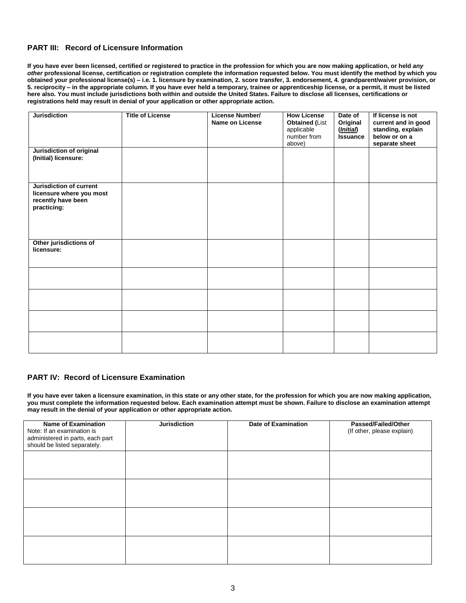#### **PART III: Record of Licensure Information**

**If you have ever been licensed, certified or registered to practice in the profession for which you are now making application, or held** *any other* **professional license, certification or registration complete the information requested below. You must identify the method by which you obtained your professional license(s) – i.e. 1. licensure by examination, 2. score transfer, 3. endorsement, 4. grandparent/waiver provision, or 5. reciprocity – in the appropriate column. If you have ever held a temporary, trainee or apprenticeship license, or a permit, it must be listed here also. You must include jurisdictions both within and outside the United States. Failure to disclose all licenses, certifications or registrations held may result in denial of your application or other appropriate action.**

| <b>Jurisdiction</b>                                                                      | <b>Title of License</b> | <b>License Number/</b><br><b>Name on License</b> | <b>How License</b><br>Obtained (List<br>applicable<br>number from<br>above) | Date of<br>Original<br>(Initial)<br><b>Issuance</b> | If license is not<br>current and in good<br>standing, explain<br>below or on a<br>separate sheet |
|------------------------------------------------------------------------------------------|-------------------------|--------------------------------------------------|-----------------------------------------------------------------------------|-----------------------------------------------------|--------------------------------------------------------------------------------------------------|
| <b>Jurisdiction of original</b><br>(Initial) licensure:                                  |                         |                                                  |                                                                             |                                                     |                                                                                                  |
| Jurisdiction of current<br>licensure where you most<br>recently have been<br>practicing: |                         |                                                  |                                                                             |                                                     |                                                                                                  |
| Other jurisdictions of<br>licensure:                                                     |                         |                                                  |                                                                             |                                                     |                                                                                                  |
|                                                                                          |                         |                                                  |                                                                             |                                                     |                                                                                                  |
|                                                                                          |                         |                                                  |                                                                             |                                                     |                                                                                                  |
|                                                                                          |                         |                                                  |                                                                             |                                                     |                                                                                                  |
|                                                                                          |                         |                                                  |                                                                             |                                                     |                                                                                                  |

#### **PART IV: Record of Licensure Examination**

**If you have ever taken a licensure examination, in this state or any other state, for the profession for which you are now making application, you must complete the information requested below. Each examination attempt must be shown. Failure to disclose an examination attempt may result in the denial of your application or other appropriate action.**

| <b>Name of Examination</b><br>Note: If an examination is<br>administered in parts, each part<br>should be listed separately. | <b>Jurisdiction</b> | <b>Date of Examination</b> | <b>Passed/Failed/Other</b><br>(If other, please explain) |
|------------------------------------------------------------------------------------------------------------------------------|---------------------|----------------------------|----------------------------------------------------------|
|                                                                                                                              |                     |                            |                                                          |
|                                                                                                                              |                     |                            |                                                          |
|                                                                                                                              |                     |                            |                                                          |
|                                                                                                                              |                     |                            |                                                          |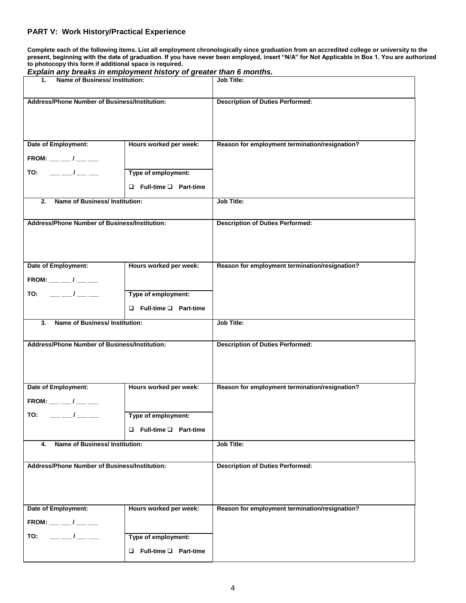#### **PART V: Work History/Practical Experience**

**Complete each of the following items. List all employment chronologically since graduation from an accredited college or university to the present, beginning with the date of graduation. If you have never been employed, insert "N/A" for Not Applicable in Box 1. You are authorized to photocopy this form if additional space is required.** 

| Explain any breaks in employment history of greater than 6 months. |                                   |                                                |
|--------------------------------------------------------------------|-----------------------------------|------------------------------------------------|
| Name of Business/ Institution:<br>$1-$                             |                                   | <b>Job Title:</b>                              |
|                                                                    |                                   |                                                |
| Address/Phone Number of Business/Institution:                      |                                   |                                                |
|                                                                    |                                   | <b>Description of Duties Performed:</b>        |
|                                                                    |                                   |                                                |
|                                                                    |                                   |                                                |
|                                                                    |                                   |                                                |
|                                                                    |                                   |                                                |
| Date of Employment:                                                | Hours worked per week:            | Reason for employment termination/resignation? |
|                                                                    |                                   |                                                |
| FROM: __ __ / __ __                                                |                                   |                                                |
| $- --$<br>TO:                                                      | Type of employment:               |                                                |
|                                                                    |                                   |                                                |
|                                                                    | $\Box$ Full-time $\Box$ Part-time |                                                |
|                                                                    |                                   |                                                |
| Name of Business/ Institution:<br>2.                               |                                   | Job Title:                                     |
|                                                                    |                                   |                                                |
|                                                                    |                                   |                                                |
| Address/Phone Number of Business/Institution:                      |                                   | <b>Description of Duties Performed:</b>        |
|                                                                    |                                   |                                                |
|                                                                    |                                   |                                                |
|                                                                    |                                   |                                                |
|                                                                    |                                   |                                                |
| Date of Employment:                                                | Hours worked per week:            | Reason for employment termination/resignation? |
|                                                                    |                                   |                                                |
| FROM: __ __ / __ __                                                |                                   |                                                |
| $- --$<br>TO:                                                      | Type of employment:               |                                                |
|                                                                    |                                   |                                                |
|                                                                    | $\Box$ Full-time $\Box$ Part-time |                                                |
|                                                                    |                                   |                                                |
| <b>Name of Business/Institution:</b><br>3.                         |                                   | <b>Job Title:</b>                              |
|                                                                    |                                   |                                                |
|                                                                    |                                   |                                                |
|                                                                    |                                   |                                                |
| Address/Phone Number of Business/Institution:                      |                                   | <b>Description of Duties Performed:</b>        |
|                                                                    |                                   |                                                |
|                                                                    |                                   |                                                |
|                                                                    |                                   |                                                |
|                                                                    |                                   |                                                |
| Date of Employment:                                                | Hours worked per week:            | Reason for employment termination/resignation? |
|                                                                    |                                   |                                                |
| FROM: __ __ / __ __                                                |                                   |                                                |
|                                                                    |                                   |                                                |
| TO:<br>$\frac{\frac{1}{2}}{2}$                                     | Type of employment:               |                                                |
|                                                                    | $\Box$ Full-time $\Box$ Part-time |                                                |
|                                                                    |                                   |                                                |
| Name of Business/ Institution:<br>4.                               |                                   | Job Title:                                     |
|                                                                    |                                   |                                                |
|                                                                    |                                   |                                                |
| Address/Phone Number of Business/Institution:                      |                                   | <b>Description of Duties Performed:</b>        |
|                                                                    |                                   |                                                |
|                                                                    |                                   |                                                |
|                                                                    |                                   |                                                |
|                                                                    |                                   |                                                |
| Date of Employment:                                                | Hours worked per week:            | Reason for employment termination/resignation? |
|                                                                    |                                   |                                                |
| $FROM:$ __ __/ __ __                                               |                                   |                                                |
|                                                                    |                                   |                                                |
| $-1$ $-$<br>TO:                                                    | Type of employment:               |                                                |
|                                                                    | $\Box$ Full-time $\Box$ Part-time |                                                |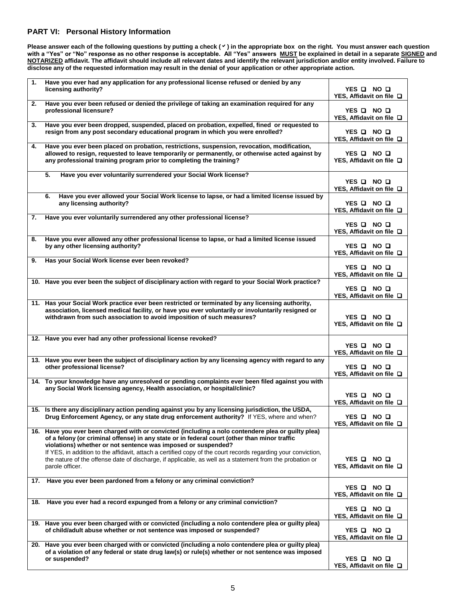#### **PART VI: Personal History Information**

**Please answer each of the following questions by putting a check () in the appropriate box on the right. You must answer each question with a "Yes" or "No" response as no other response is acceptable. All "Yes" answers MUST be explained in detail in a separate SIGNED and NOTARIZED affidavit. The affidavit should include all relevant dates and identify the relevant jurisdiction and/or entity involved. Failure to disclose any of the requested information may result in the denial of your application or other appropriate action.** 

| 1.  | Have you ever had any application for any professional license refused or denied by any                                                                                                                 |                                  |
|-----|---------------------------------------------------------------------------------------------------------------------------------------------------------------------------------------------------------|----------------------------------|
|     | licensing authority?                                                                                                                                                                                    | YES Q NO Q                       |
| 2.  | Have you ever been refused or denied the privilege of taking an examination required for any                                                                                                            | YES, Affidavit on file □         |
|     | professional licensure?                                                                                                                                                                                 | YES Q NO Q                       |
|     |                                                                                                                                                                                                         | YES. Affidavit on file $\Box$    |
| 3.  | Have you ever been dropped, suspended, placed on probation, expelled, fined or requested to                                                                                                             |                                  |
|     | resign from any post secondary educational program in which you were enrolled?                                                                                                                          | YES Q NO Q                       |
|     |                                                                                                                                                                                                         | YES, Affidavit on file □         |
| 4.  | Have you ever been placed on probation, restrictions, suspension, revocation, modification,                                                                                                             |                                  |
|     | allowed to resign, requested to leave temporarily or permanently, or otherwise acted against by                                                                                                         | YES O NO O                       |
|     | any professional training program prior to completing the training?                                                                                                                                     | YES, Affidavit on file $\Box$    |
|     | 5.                                                                                                                                                                                                      |                                  |
|     | Have you ever voluntarily surrendered your Social Work license?                                                                                                                                         | YES O NO O                       |
|     |                                                                                                                                                                                                         | YES, Affidavit on file Q         |
|     | Have you ever allowed your Social Work license to lapse, or had a limited license issued by<br>6.                                                                                                       |                                  |
|     | any licensing authority?                                                                                                                                                                                | YES Q NO Q                       |
|     |                                                                                                                                                                                                         | YES, Affidavit on file □         |
| 7.  | Have you ever voluntarily surrendered any other professional license?                                                                                                                                   |                                  |
|     |                                                                                                                                                                                                         | YES Q NO Q                       |
|     |                                                                                                                                                                                                         | YES, Affidavit on file □         |
| 8.  | Have you ever allowed any other professional license to lapse, or had a limited license issued                                                                                                          |                                  |
|     | by any other licensing authority?                                                                                                                                                                       | YES O NO O                       |
|     | Has your Social Work license ever been revoked?                                                                                                                                                         | YES, Affidavit on file $\square$ |
| 9.  |                                                                                                                                                                                                         | YES O NO O                       |
|     |                                                                                                                                                                                                         | YES, Affidavit on file □         |
|     | 10. Have you ever been the subject of disciplinary action with regard to your Social Work practice?                                                                                                     |                                  |
|     |                                                                                                                                                                                                         | YES Q NO Q                       |
|     |                                                                                                                                                                                                         | YES, Affidavit on file $\Box$    |
|     | 11. Has your Social Work practice ever been restricted or terminated by any licensing authority,                                                                                                        |                                  |
|     | association, licensed medical facility, or have you ever voluntarily or involuntarily resigned or                                                                                                       |                                  |
|     | withdrawn from such association to avoid imposition of such measures?                                                                                                                                   | YES O NO O                       |
|     |                                                                                                                                                                                                         | YES, Affidavit on file □         |
|     |                                                                                                                                                                                                         |                                  |
|     | 12. Have you ever had any other professional license revoked?                                                                                                                                           | YES Q NO Q                       |
|     |                                                                                                                                                                                                         | YES, Affidavit on file $\Box$    |
|     | 13. Have you ever been the subject of disciplinary action by any licensing agency with regard to any                                                                                                    |                                  |
|     | other professional license?                                                                                                                                                                             | YES OI NO O                      |
|     |                                                                                                                                                                                                         | YES, Affidavit on file $\Box$    |
|     | 14. To your knowledge have any unresolved or pending complaints ever been filed against you with                                                                                                        |                                  |
|     | any Social Work licensing agency, Health association, or hospital/clinic?                                                                                                                               |                                  |
|     |                                                                                                                                                                                                         | YES Q NO Q                       |
|     | 15. Is there any disciplinary action pending against you by any licensing jurisdiction, the USDA,                                                                                                       | YES, Affidavit on file □         |
|     | Drug Enforcement Agency, or any state drug enforcement authority? If YES, where and when?                                                                                                               | YES Q NO Q                       |
|     |                                                                                                                                                                                                         | YES, Affidavit on file $\Box$    |
|     | 16. Have you ever been charged with or convicted (including a nolo contendere plea or guilty plea)                                                                                                      |                                  |
|     | of a felony (or criminal offense) in any state or in federal court (other than minor traffic                                                                                                            |                                  |
|     | violations) whether or not sentence was imposed or suspended?                                                                                                                                           |                                  |
|     | If YES, in addition to the affidavit, attach a certified copy of the court records regarding your conviction,                                                                                           |                                  |
|     | the nature of the offense date of discharge, if applicable, as well as a statement from the probation or                                                                                                | YES Q NO Q                       |
|     | parole officer.                                                                                                                                                                                         | YES, Affidavit on file $\Box$    |
|     | 17. Have you ever been pardoned from a felony or any criminal conviction?                                                                                                                               |                                  |
|     |                                                                                                                                                                                                         | YES Q NO Q                       |
|     |                                                                                                                                                                                                         | YES, Affidavit on file $\Box$    |
| 18. | Have you ever had a record expunged from a felony or any criminal conviction?                                                                                                                           |                                  |
|     |                                                                                                                                                                                                         | YES Q NO Q                       |
|     |                                                                                                                                                                                                         | YES, Affidavit on file $\Box$    |
|     | 19. Have you ever been charged with or convicted (including a nolo contendere plea or guilty plea)                                                                                                      |                                  |
|     | of child/adult abuse whether or not sentence was imposed or suspended?                                                                                                                                  | YES Q NO Q                       |
|     |                                                                                                                                                                                                         | YES, Affidavit on file $\Box$    |
|     | 20. Have you ever been charged with or convicted (including a nolo contendere plea or guilty plea)<br>of a violation of any federal or state drug law(s) or rule(s) whether or not sentence was imposed |                                  |
|     | or suspended?                                                                                                                                                                                           | YES Q NO Q                       |
|     |                                                                                                                                                                                                         | YES, Affidavit on file $\Box$    |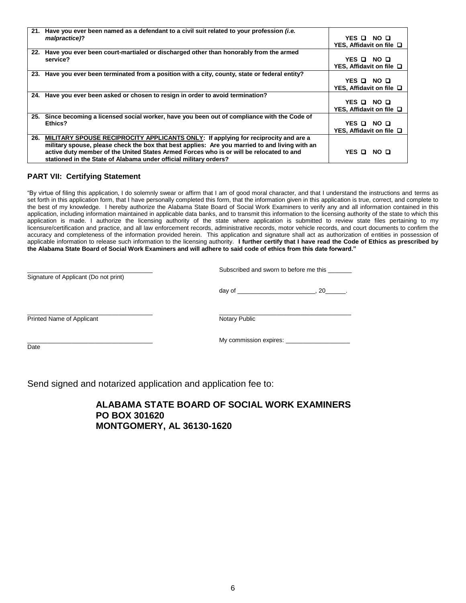|     | 21. Have you ever been named as a defendant to a civil suit related to your profession <i>(i.e.</i> |                               |
|-----|-----------------------------------------------------------------------------------------------------|-------------------------------|
|     | malpractice)?                                                                                       | YES O NO O                    |
|     |                                                                                                     | YES, Affidavit on file □      |
| 22. | Have you ever been court-martialed or discharged other than honorably from the armed                |                               |
|     | service?                                                                                            | YES DI NO DI                  |
|     |                                                                                                     | YES, Affidavit on file □      |
|     | 23. Have you ever been terminated from a position with a city, county, state or federal entity?     |                               |
|     |                                                                                                     | YES Q NO Q                    |
|     |                                                                                                     | YES, Affidavit on file $\Box$ |
|     | 24. Have you ever been asked or chosen to resign in order to avoid termination?                     |                               |
|     |                                                                                                     | YES O NO O                    |
|     |                                                                                                     | YES, Affidavit on file □      |
|     | 25. Since becoming a licensed social worker, have you been out of compliance with the Code of       |                               |
|     | Ethics?                                                                                             | YES O NO O                    |
|     |                                                                                                     | YES, Affidavit on file □      |
| 26. | MILITARY SPOUSE RECIPROCITY APPLICANTS ONLY: If applying for reciprocity and are a                  |                               |
|     | military spouse, please check the box that best applies: Are you married to and living with an      |                               |
|     | active duty member of the United States Armed Forces who is or will be relocated to and             | YES OI NO OI                  |
|     | stationed in the State of Alabama under official military orders?                                   |                               |

#### **PART VII: Certifying Statement**

"By virtue of filing this application, I do solemnly swear or affirm that I am of good moral character, and that I understand the instructions and terms as set forth in this application form, that I have personally completed this form, that the information given in this application is true, correct, and complete to the best of my knowledge. I hereby authorize the Alabama State Board of Social Work Examiners to verify any and all information contained in this application, including information maintained in applicable data banks, and to transmit this information to the licensing authority of the state to which this application is made. I authorize the licensing authority of the state where application is submitted to review state files pertaining to my licensure/certification and practice, and all law enforcement records, administrative records, motor vehicle records, and court documents to confirm the accuracy and completeness of the information provided herein. This application and signature shall act as authorization of entities in possession of applicable information to release such information to the licensing authority. **I further certify that I have read the Code of Ethics as prescribed by the Alabama State Board of Social Work Examiners and will adhere to said code of ethics from this date forward."**

| Signature of Applicant (Do not print) | Subscribed and sworn to before me this |  |  |
|---------------------------------------|----------------------------------------|--|--|
|                                       | day of $\sqrt{a}$<br>. 20              |  |  |
| Printed Name of Applicant             | Notary Public                          |  |  |
| Date                                  | My commission expires: _________       |  |  |

Send signed and notarized application and application fee to:

**ALABAMA STATE BOARD OF SOCIAL WORK EXAMINERS PO BOX 301620 MONTGOMERY, AL 36130-1620**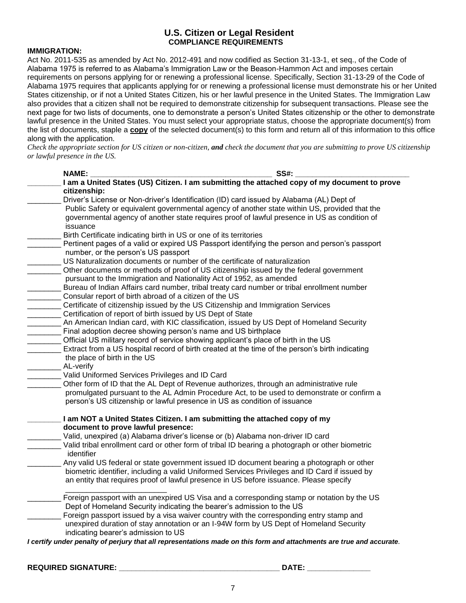## **U.S. Citizen or Legal Resident COMPLIANCE REQUIREMENTS**

### **IMMIGRATION:**

Act No. 2011-535 as amended by Act No. 2012-491 and now codified as Section 31-13-1, et seq., of the Code of Alabama 1975 is referred to as Alabama's Immigration Law or the Beason-Hammon Act and imposes certain requirements on persons applying for or renewing a professional license. Specifically, Section 31-13-29 of the Code of Alabama 1975 requires that applicants applying for or renewing a professional license must demonstrate his or her United States citizenship, or if not a United States Citizen, his or her lawful presence in the United States. The Immigration Law also provides that a citizen shall not be required to demonstrate citizenship for subsequent transactions. Please see the next page for two lists of documents, one to demonstrate a person's United States citizenship or the other to demonstrate lawful presence in the United States. You must select your appropriate status, choose the appropriate document(s) from the list of documents, staple a **copy** of the selected document(s) to this form and return all of this information to this office along with the application.

*Check the appropriate section for US citizen or non-citizen, and check the document that you are submitting to prove US citizenship or lawful presence in the US.*

| <b>SS#:</b><br><b>NAME:</b>                                                                     |
|-------------------------------------------------------------------------------------------------|
| I am a United States (US) Citizen. I am submitting the attached copy of my document to prove    |
| citizenship:                                                                                    |
| Driver's License or Non-driver's Identification (ID) card issued by Alabama (AL) Dept of        |
| Public Safety or equivalent governmental agency of another state within US, provided that the   |
| governmental agency of another state requires proof of lawful presence in US as condition of    |
| issuance                                                                                        |
| Birth Certificate indicating birth in US or one of its territories                              |
| Pertinent pages of a valid or expired US Passport identifying the person and person's passport  |
| number, or the person's US passport                                                             |
| US Naturalization documents or number of the certificate of naturalization                      |
| Other documents or methods of proof of US citizenship issued by the federal government          |
| pursuant to the Immigration and Nationality Act of 1952, as amended                             |
| Bureau of Indian Affairs card number, tribal treaty card number or tribal enrollment number     |
| Consular report of birth abroad of a citizen of the US                                          |
| Certificate of citizenship issued by the US Citizenship and Immigration Services                |
| Certification of report of birth issued by US Dept of State                                     |
| An American Indian card, with KIC classification, issued by US Dept of Homeland Security        |
| Final adoption decree showing person's name and US birthplace                                   |
| Official US military record of service showing applicant's place of birth in the US             |
| Extract from a US hospital record of birth created at the time of the person's birth indicating |
| the place of birth in the US                                                                    |
| AL-verify                                                                                       |
| Valid Uniformed Services Privileges and ID Card                                                 |
| Other form of ID that the AL Dept of Revenue authorizes, through an administrative rule         |
| promulgated pursuant to the AL Admin Procedure Act, to be used to demonstrate or confirm a      |
| person's US citizenship or lawful presence in US as condition of issuance                       |
|                                                                                                 |
| I am NOT a United States Citizen. I am submitting the attached copy of my                       |
| document to prove lawful presence:                                                              |
| Valid, unexpired (a) Alabama driver's license or (b) Alabama non-driver ID card                 |
| Valid tribal enrollment card or other form of tribal ID bearing a photograph or other biometric |
| identifier                                                                                      |
| Any valid US federal or state government issued ID document bearing a photograph or other       |
| biometric identifier, including a valid Uniformed Services Privileges and ID Card if issued by  |
| an entity that requires proof of lawful presence in US before issuance. Please specify          |
| Foreign passport with an unexpired US Visa and a corresponding stamp or notation by the US      |
| Dept of Homeland Security indicating the bearer's admission to the US                           |
| Foreign passport issued by a visa waiver country with the corresponding entry stamp and         |
| unexpired duration of stay annotation or an I-94W form by US Dept of Homeland Security          |
| indicating bearer's admission to US                                                             |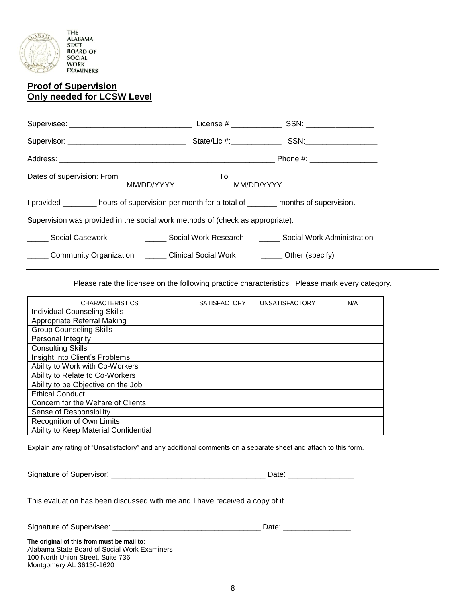

## **Proof of Supervision Only needed for LCSW Level**

|                                                                                                          |            | Phone #: ___________________ |
|----------------------------------------------------------------------------------------------------------|------------|------------------------------|
| Dates of supervision: From __________________<br>MM/DD/YYYY                                              | MM/DD/YYYY |                              |
| I provided ________ hours of supervision per month for a total of _______ months of supervision.         |            |                              |
| Supervision was provided in the social work methods of (check as appropriate):                           |            |                              |
| Social Casework <b>Casework Casework</b> Social Work Research <b>Casework</b> Social Work Administration |            |                              |
| ______ Community Organization ______ Clinical Social Work _______ Other (specify)                        |            |                              |

Please rate the licensee on the following practice characteristics. Please mark every category.

| <b>CHARACTERISTICS</b>                | <b>SATISFACTORY</b> | <b>UNSATISFACTORY</b> | N/A |
|---------------------------------------|---------------------|-----------------------|-----|
| <b>Individual Counseling Skills</b>   |                     |                       |     |
| Appropriate Referral Making           |                     |                       |     |
| <b>Group Counseling Skills</b>        |                     |                       |     |
| Personal Integrity                    |                     |                       |     |
| <b>Consulting Skills</b>              |                     |                       |     |
| Insight Into Client's Problems        |                     |                       |     |
| Ability to Work with Co-Workers       |                     |                       |     |
| Ability to Relate to Co-Workers       |                     |                       |     |
| Ability to be Objective on the Job    |                     |                       |     |
| <b>Ethical Conduct</b>                |                     |                       |     |
| Concern for the Welfare of Clients    |                     |                       |     |
| Sense of Responsibility               |                     |                       |     |
| Recognition of Own Limits             |                     |                       |     |
| Ability to Keep Material Confidential |                     |                       |     |

Explain any rating of "Unsatisfactory" and any additional comments on a separate sheet and attach to this form.

Signature of Supervisor: \_\_\_\_\_\_\_\_\_\_\_\_\_\_\_\_\_\_\_\_\_\_\_\_\_\_\_\_\_\_\_\_\_ Date: \_\_\_\_\_\_\_\_\_\_\_\_\_\_

This evaluation has been discussed with me and I have received a copy of it.

Signature of Supervisee: \_\_\_\_\_\_\_\_\_\_\_\_\_\_\_\_\_\_\_\_\_\_\_\_\_\_\_\_\_\_\_\_\_\_\_ Date: \_\_\_\_\_\_\_\_\_\_\_\_\_\_\_\_

**The original of this from must be mail to**: Alabama State Board of Social Work Examiners 100 North Union Street, Suite 736 Montgomery AL 36130-1620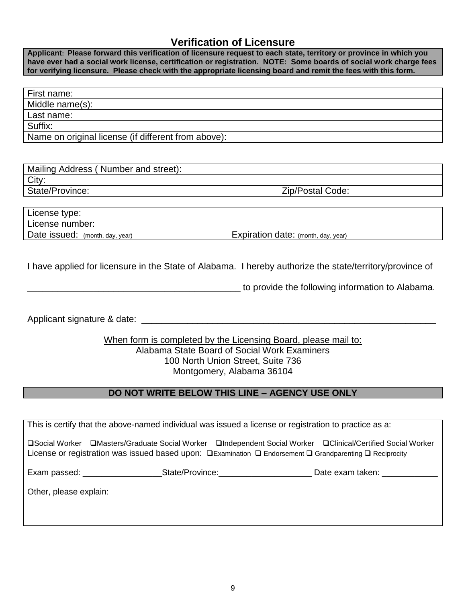# **Verification of Licensure**

**Applicant: Please forward this verification of licensure request to each state, territory or province in which you have ever had a social work license, certification or registration. NOTE: Some boards of social work charge fees for verifying licensure. Please check with the appropriate licensing board and remit the fees with this form.**

| First name:                                         |
|-----------------------------------------------------|
| Middle name(s):                                     |
| Last name:                                          |
| Suffix:                                             |
| Name on original license (if different from above): |

| Mailing Address (Number and street): |                  |
|--------------------------------------|------------------|
| City:                                |                  |
| State/Province:                      | Zip/Postal Code: |
|                                      |                  |

| License type:                   |                                     |
|---------------------------------|-------------------------------------|
| License number:                 |                                     |
| Date issued: (month, day, year) | Expiration date: (month, day, year) |

I have applied for licensure in the State of Alabama. I hereby authorize the state/territory/province of

\_\_\_\_\_\_\_\_\_\_\_\_\_\_\_\_\_\_\_\_\_\_\_\_\_\_\_\_\_\_\_\_\_\_\_\_\_\_\_\_\_\_ to provide the following information to Alabama.

Applicant signature & date:  $\Box$ 

## When form is completed by the Licensing Board, please mail to: Alabama State Board of Social Work Examiners 100 North Union Street, Suite 736 Montgomery, Alabama 36104

## **DO NOT WRITE BELOW THIS LINE – AGENCY USE ONLY**

| This is certify that the above-named individual was issued a license or registration to practice as a:                        |  |  |                                                                                                             |  |  |
|-------------------------------------------------------------------------------------------------------------------------------|--|--|-------------------------------------------------------------------------------------------------------------|--|--|
|                                                                                                                               |  |  | □Social Worker □Masters/Graduate Social Worker □Independent Social Worker □Clinical/Certified Social Worker |  |  |
|                                                                                                                               |  |  |                                                                                                             |  |  |
| License or registration was issued based upon: $\Box$ Examination $\Box$ Endorsement $\Box$ Grandparenting $\Box$ Reciprocity |  |  |                                                                                                             |  |  |
|                                                                                                                               |  |  |                                                                                                             |  |  |
| Exam passed: <u>_______________</u>                                                                                           |  |  | Date exam taken: Date example                                                                               |  |  |
| Other, please explain:                                                                                                        |  |  |                                                                                                             |  |  |
|                                                                                                                               |  |  |                                                                                                             |  |  |
|                                                                                                                               |  |  |                                                                                                             |  |  |
|                                                                                                                               |  |  |                                                                                                             |  |  |